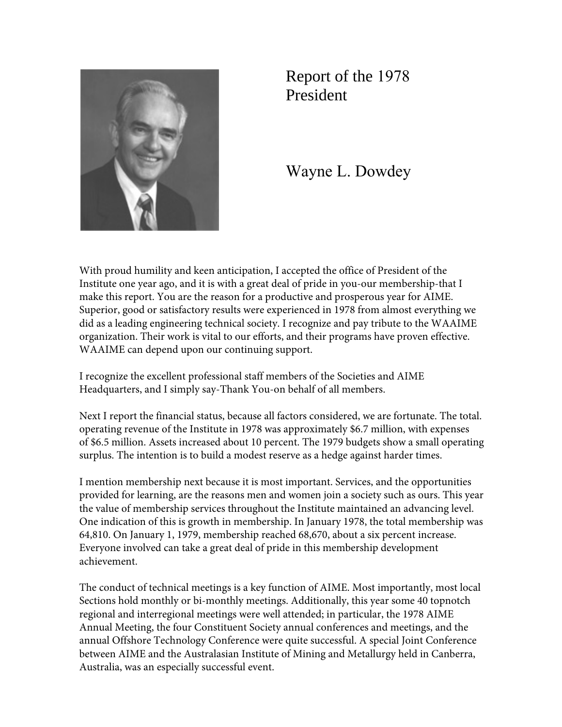

Report of the 1978 President

Wayne L. Dowdey

With proud humility and keen anticipation, I accepted the office of President of the Institute one year ago, and it is with a great deal of pride in you-our membership-that I make this report. You are the reason for a productive and prosperous year for AIME. Superior, good or satisfactory results were experienced in 1978 from almost everything we did as a leading engineering technical society. I recognize and pay tribute to the WAAIME organization. Their work is vital to our efforts, and their programs have proven effective. WAAIME can depend upon our continuing support.

I recognize the excellent professional staff members of the Societies and AIME Headquarters, and I simply say-Thank You-on behalf of all members.

Next I report the financial status, because all factors considered, we are fortunate. The total. operating revenue of the Institute in 1978 was approximately \$6.7 million, with expenses of \$6.5 million. Assets increased about 10 percent. The 1979 budgets show a small operating surplus. The intention is to build a modest reserve as a hedge against harder times.

I mention membership next because it is most important. Services, and the opportunities provided for learning, are the reasons men and women join a society such as ours. This year the value of membership services throughout the Institute maintained an advancing level. One indication of this is growth in membership. In January 1978, the total membership was 64,810. On January 1, 1979, membership reached 68,670, about a six percent increase. Everyone involved can take a great deal of pride in this membership development achievement.

The conduct of technical meetings is a key function of AIME. Most importantly, most local Sections hold monthly or bi-monthly meetings. Additionally, this year some 40 topnotch regional and interregional meetings were well attended; in particular, the 1978 AIME Annual Meeting, the four Constituent Society annual conferences and meetings, and the annual Offshore Technology Conference were quite successful. A special Joint Conference between AIME and the Australasian Institute of Mining and Metallurgy held in Canberra, Australia, was an especially successful event.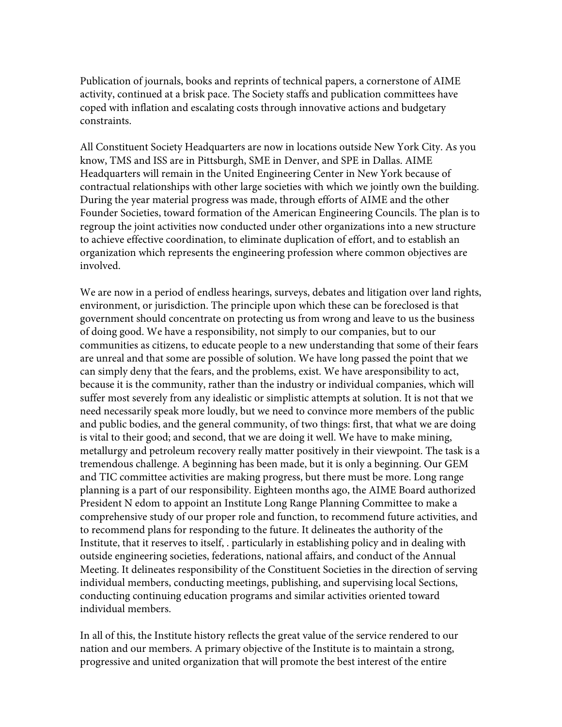Publication of journals, books and reprints of technical papers, a cornerstone of AIME activity, continued at a brisk pace. The Society staffs and publication committees have coped with inflation and escalating costs through innovative actions and budgetary constraints.

All Constituent Society Headquarters are now in locations outside New York City. As you know, TMS and ISS are in Pittsburgh, SME in Denver, and SPE in Dallas. AIME Headquarters will remain in the United Engineering Center in New York because of contractual relationships with other large societies with which we jointly own the building. During the year material progress was made, through efforts of AIME and the other Founder Societies, toward formation of the American Engineering Councils. The plan is to regroup the joint activities now conducted under other organizations into a new structure to achieve effective coordination, to eliminate duplication of effort, and to establish an organization which represents the engineering profession where common objectives are involved.

We are now in a period of endless hearings, surveys, debates and litigation over land rights, environment, or jurisdiction. The principle upon which these can be foreclosed is that government should concentrate on protecting us from wrong and leave to us the business of doing good. We have a responsibility, not simply to our companies, but to our communities as citizens, to educate people to a new understanding that some of their fears are unreal and that some are possible of solution. We have long passed the point that we can simply deny that the fears, and the problems, exist. We have aresponsibility to act, because it is the community, rather than the industry or individual companies, which will suffer most severely from any idealistic or simplistic attempts at solution. It is not that we need necessarily speak more loudly, but we need to convince more members of the public and public bodies, and the general community, of two things: first, that what we are doing is vital to their good; and second, that we are doing it well. We have to make mining, metallurgy and petroleum recovery really matter positively in their viewpoint. The task is a tremendous challenge. A beginning has been made, but it is only a beginning. Our GEM and TIC committee activities are making progress, but there must be more. Long range planning is a part of our responsibility. Eighteen months ago, the AIME Board authorized President N edom to appoint an Institute Long Range Planning Committee to make a comprehensive study of our proper role and function, to recommend future activities, and to recommend plans for responding to the future. It delineates the authority of the Institute, that it reserves to itself, . particularly in establishing policy and in dealing with outside engineering societies, federations, national affairs, and conduct of the Annual Meeting. It delineates responsibility of the Constituent Societies in the direction of serving individual members, conducting meetings, publishing, and supervising local Sections, conducting continuing education programs and similar activities oriented toward individual members.

In all of this, the Institute history reflects the great value of the service rendered to our nation and our members. A primary objective of the Institute is to maintain a strong, progressive and united organization that will promote the best interest of the entire